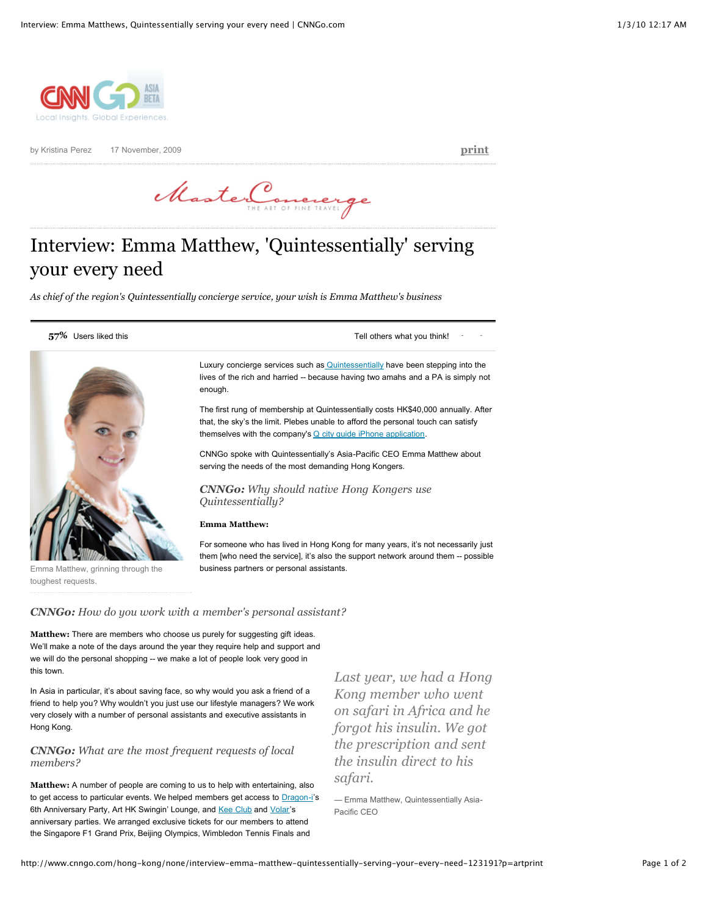

by Kristina Perez 17 November, 2009 **[print](http://www.cnngo.com/hong-kong/none/interview-emma-matthew-quintessentially-serving-your-every-need-123191?p=artprint#)**

MasterConcrerge

# Interview: Emma Matthew, 'Quintessentially' serving your every need

*As chief of the region's Quintessentially concierge service, your wish is Emma Matthew's business*

**57%** Users liked this **57%** Users in the USE of the Tell others what you think!



Luxury concierge services such as [Quintessentially](http://www.quintessentially.com/) have been stepping into the lives of the rich and harried -- because having two amahs and a PA is simply not enough.

The first rung of membership at Quintessentially costs HK\$40,000 annually. After that, the sky's the limit. Plebes unable to afford the personal touch can satisfy themselves with the company's  $Q$  city guide iPhone application.

CNNGo spoke with Quintessentially's Asia-Pacific CEO Emma Matthew about serving the needs of the most demanding Hong Kongers.

*CNNGo: Why should native Hong Kongers use Quintessentially?*

#### **Emma Matthew:**

For someone who has lived in Hong Kong for many years, it's not necessarily just them [who need the service], it's also the support network around them -- possible business partners or personal assistants.

Emma Matthew, grinning through the toughest requests.

*CNNGo: How do you work with a member's personal assistant?*

**Matthew:** There are members who choose us purely for suggesting gift ideas. We'll make a note of the days around the year they require help and support and we will do the personal shopping -- we make a lot of people look very good in this town.

In Asia in particular, it's about saving face, so why would you ask a friend of a friend to help you? Why wouldn't you just use our lifestyle managers? We work very closely with a number of personal assistants and executive assistants in Hong Kong.

# *CNNGo: What are the most frequent requests of local members?*

**Matthew:** A number of people are coming to us to help with entertaining, also to get access to particular events. We helped members get access to **[Dragon-i](http://www.cnngo.com/hong-kong/drink/dragoni-956192)**'s 6th Anniversary Party, Art HK Swingin' Lounge, and [Kee Club](http://www.keeclub.com/hongkong/) and [Volar'](http://volar.com.hk/)s anniversary parties. We arranged exclusive tickets for our members to attend the Singapore F1 Grand Prix, Beijing Olympics, Wimbledon Tennis Finals and

*Last year, we had a Hong Kong member who went on safari in Africa and he forgot his insulin. We got the prescription and sent the insulin direct to his safari.*

— Emma Matthew, Quintessentially Asia-Pacific CEO